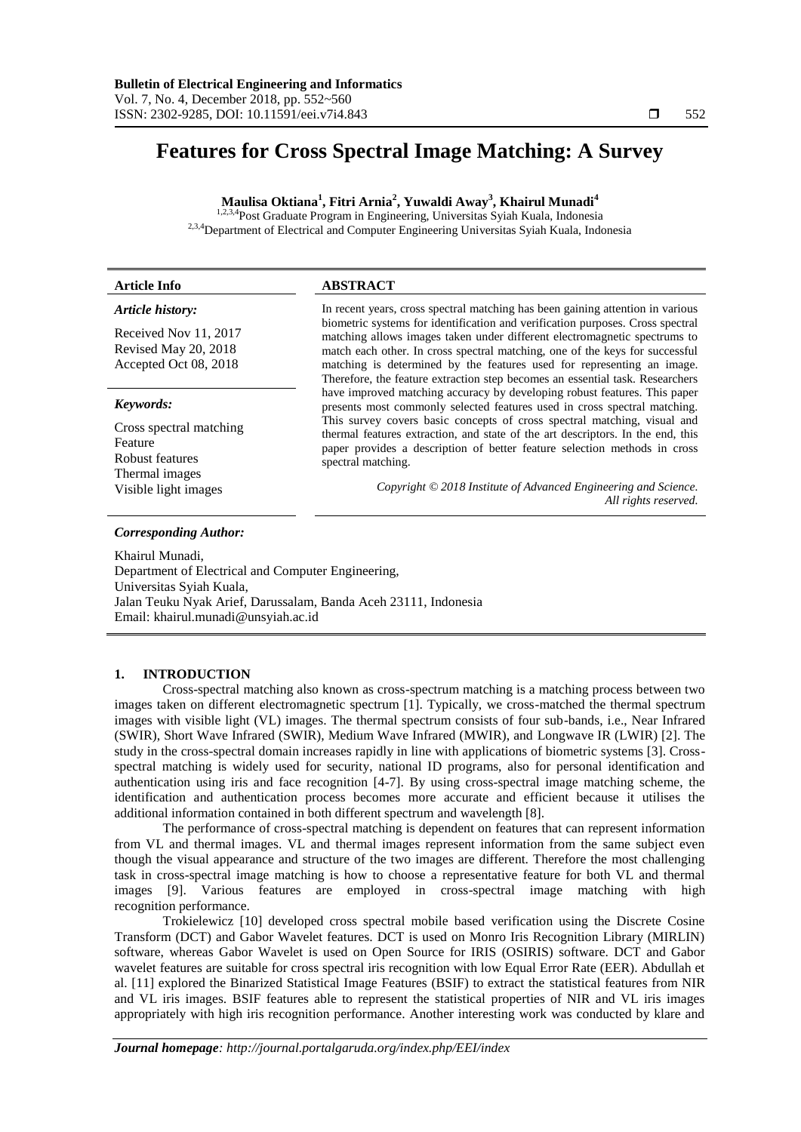# **Features for Cross Spectral Image Matching: A Survey**

**Maulisa Oktiana<sup>1</sup> , Fitri Arnia<sup>2</sup> , Yuwaldi Away<sup>3</sup> , Khairul Munadi<sup>4</sup>**

<sup>1,2,3,4</sup>Post Graduate Program in Engineering, Universitas Syiah Kuala, Indonesia <sup>2,3,4</sup>Department of Electrical and Computer Engineering Universitas Syiah Kuala, Indonesia

| <b>Article Info</b>                                                                                          | <b>ABSTRACT</b>                                                                                                                                                                                                                                                                                                                                                                                                                                                                                                     |  |
|--------------------------------------------------------------------------------------------------------------|---------------------------------------------------------------------------------------------------------------------------------------------------------------------------------------------------------------------------------------------------------------------------------------------------------------------------------------------------------------------------------------------------------------------------------------------------------------------------------------------------------------------|--|
| Article history:<br>Received Nov 11, 2017<br>Revised May 20, 2018<br>Accepted Oct 08, 2018                   | In recent years, cross spectral matching has been gaining attention in various<br>biometric systems for identification and verification purposes. Cross spectral<br>matching allows images taken under different electromagnetic spectrums to<br>match each other. In cross spectral matching, one of the keys for successful<br>matching is determined by the features used for representing an image.<br>Therefore, the feature extraction step becomes an essential task. Researchers                            |  |
| Keywords:<br>Cross spectral matching<br>Feature<br>Robust features<br>Thermal images<br>Visible light images | have improved matching accuracy by developing robust features. This paper<br>presents most commonly selected features used in cross spectral matching.<br>This survey covers basic concepts of cross spectral matching, visual and<br>thermal features extraction, and state of the art descriptors. In the end, this<br>paper provides a description of better feature selection methods in cross<br>spectral matching.<br>Copyright © 2018 Institute of Advanced Engineering and Science.<br>All rights reserved. |  |

## *Corresponding Author:*

Khairul Munadi, Department of Electrical and Computer Engineering, Universitas Syiah Kuala, Jalan Teuku Nyak Arief, Darussalam, Banda Aceh 23111, Indonesia Email: khairul.munadi@unsyiah.ac.id

# **1. INTRODUCTION**

Cross-spectral matching also known as cross-spectrum matching is a matching process between two images taken on different electromagnetic spectrum [1]. Typically, we cross-matched the thermal spectrum images with visible light (VL) images. The thermal spectrum consists of four sub-bands, i.e., Near Infrared (SWIR), Short Wave Infrared (SWIR), Medium Wave Infrared (MWIR), and Longwave IR (LWIR) [2]. The study in the cross-spectral domain increases rapidly in line with applications of biometric systems [3]. Crossspectral matching is widely used for security, national ID programs, also for personal identification and authentication using iris and face recognition [4-7]. By using cross-spectral image matching scheme, the identification and authentication process becomes more accurate and efficient because it utilises the additional information contained in both different spectrum and wavelength [8].

The performance of cross-spectral matching is dependent on features that can represent information from VL and thermal images. VL and thermal images represent information from the same subject even though the visual appearance and structure of the two images are different. Therefore the most challenging task in cross-spectral image matching is how to choose a representative feature for both VL and thermal images [9]. Various features are employed in cross-spectral image matching with high recognition performance.

Trokielewicz [10] developed cross spectral mobile based verification using the Discrete Cosine Transform (DCT) and Gabor Wavelet features. DCT is used on Monro Iris Recognition Library (MIRLIN) software, whereas Gabor Wavelet is used on Open Source for IRIS (OSIRIS) software. DCT and Gabor wavelet features are suitable for cross spectral iris recognition with low Equal Error Rate (EER). Abdullah et al. [11] explored the Binarized Statistical Image Features (BSIF) to extract the statistical features from NIR and VL iris images. BSIF features able to represent the statistical properties of NIR and VL iris images appropriately with high iris recognition performance. Another interesting work was conducted by klare and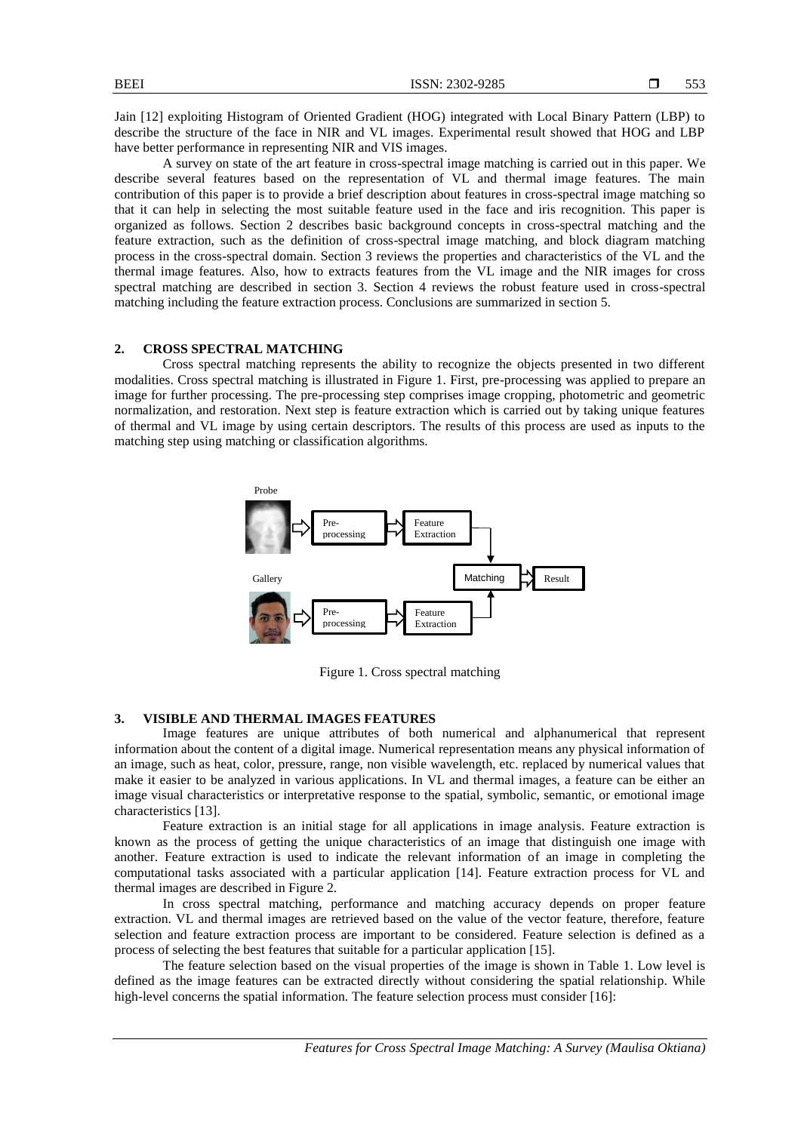Jain [12] exploiting Histogram of Oriented Gradient (HOG) integrated with Local Binary Pattern (LBP) to describe the structure of the face in NIR and VL images. Experimental result showed that HOG and LBP have better performance in representing NIR and VIS images.

A survey on state of the art feature in cross-spectral image matching is carried out in this paper. We describe several features based on the representation of VL and thermal image features. The main contribution of this paper is to provide a brief description about features in cross-spectral image matching so that it can help in selecting the most suitable feature used in the face and iris recognition. This paper is organized as follows. Section 2 describes basic background concepts in cross-spectral matching and the feature extraction, such as the definition of cross-spectral image matching, and block diagram matching process in the cross-spectral domain. Section 3 reviews the properties and characteristics of the VL and the thermal image features. Also, how to extracts features from the VL image and the NIR images for cross spectral matching are described in section 3. Section 4 reviews the robust feature used in cross-spectral matching including the feature extraction process. Conclusions are summarized in section 5.

# **2. CROSS SPECTRAL MATCHING**

Cross spectral matching represents the ability to recognize the objects presented in two different modalities. Cross spectral matching is illustrated in Figure 1. First, pre-processing was applied to prepare an image for further processing. The pre-processing step comprises image cropping, photometric and geometric normalization, and restoration. Next step is feature extraction which is carried out by taking unique features of thermal and VL image by using certain descriptors. The results of this process are used as inputs to the matching step using matching or classification algorithms.



Figure 1. Cross spectral matching

# **3. VISIBLE AND THERMAL IMAGES FEATURES**

Image features are unique attributes of both numerical and alphanumerical that represent information about the content of a digital image. Numerical representation means any physical information of an image, such as heat, color, pressure, range, non visible wavelength, etc. replaced by numerical values that make it easier to be analyzed in various applications. In VL and thermal images, a feature can be either an image visual characteristics or interpretative response to the spatial, symbolic, semantic, or emotional image characteristics [13].

Feature extraction is an initial stage for all applications in image analysis. Feature extraction is known as the process of getting the unique characteristics of an image that distinguish one image with another. Feature extraction is used to indicate the relevant information of an image in completing the computational tasks associated with a particular application [14]. Feature extraction process for VL and thermal images are described in Figure 2.

In cross spectral matching, performance and matching accuracy depends on proper feature extraction. VL and thermal images are retrieved based on the value of the vector feature, therefore, feature selection and feature extraction process are important to be considered. Feature selection is defined as a process of selecting the best features that suitable for a particular application [15].

The feature selection based on the visual properties of the image is shown in Table 1. Low level is defined as the image features can be extracted directly without considering the spatial relationship. While high-level concerns the spatial information. The feature selection process must consider [16]: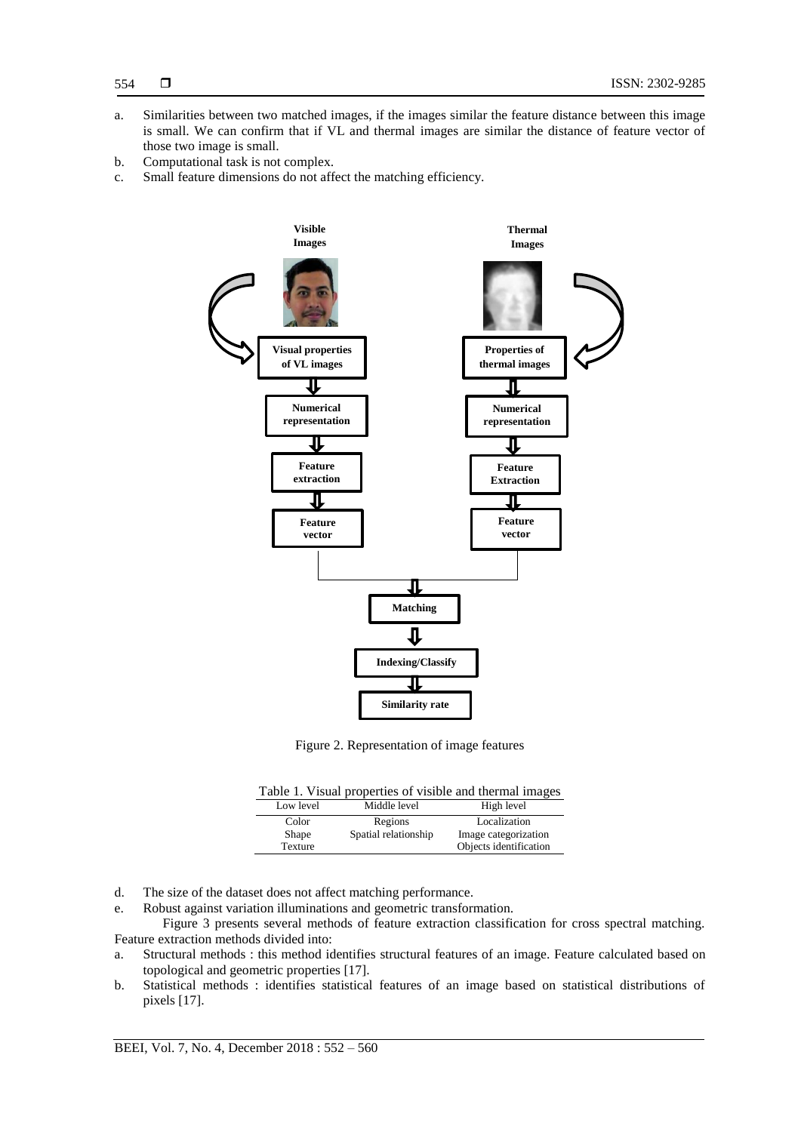- a. Similarities between two matched images, if the images similar the feature distance between this image is small. We can confirm that if VL and thermal images are similar the distance of feature vector of those two image is small.
- b. Computational task is not complex.
- c. Small feature dimensions do not affect the matching efficiency.



Figure 2. Representation of image features

| Low level      | Middle level         | High level             |
|----------------|----------------------|------------------------|
| Color          | Regions              | Localization           |
| <b>Shape</b>   | Spatial relationship | Image categorization   |
| <b>Texture</b> |                      | Objects identification |

d. The size of the dataset does not affect matching performance.

e. Robust against variation illuminations and geometric transformation.

Figure 3 presents several methods of feature extraction classification for cross spectral matching. Feature extraction methods divided into:

- a. Structural methods : this method identifies structural features of an image. Feature calculated based on topological and geometric properties [17].
- b. Statistical methods : identifies statistical features of an image based on statistical distributions of pixels [17].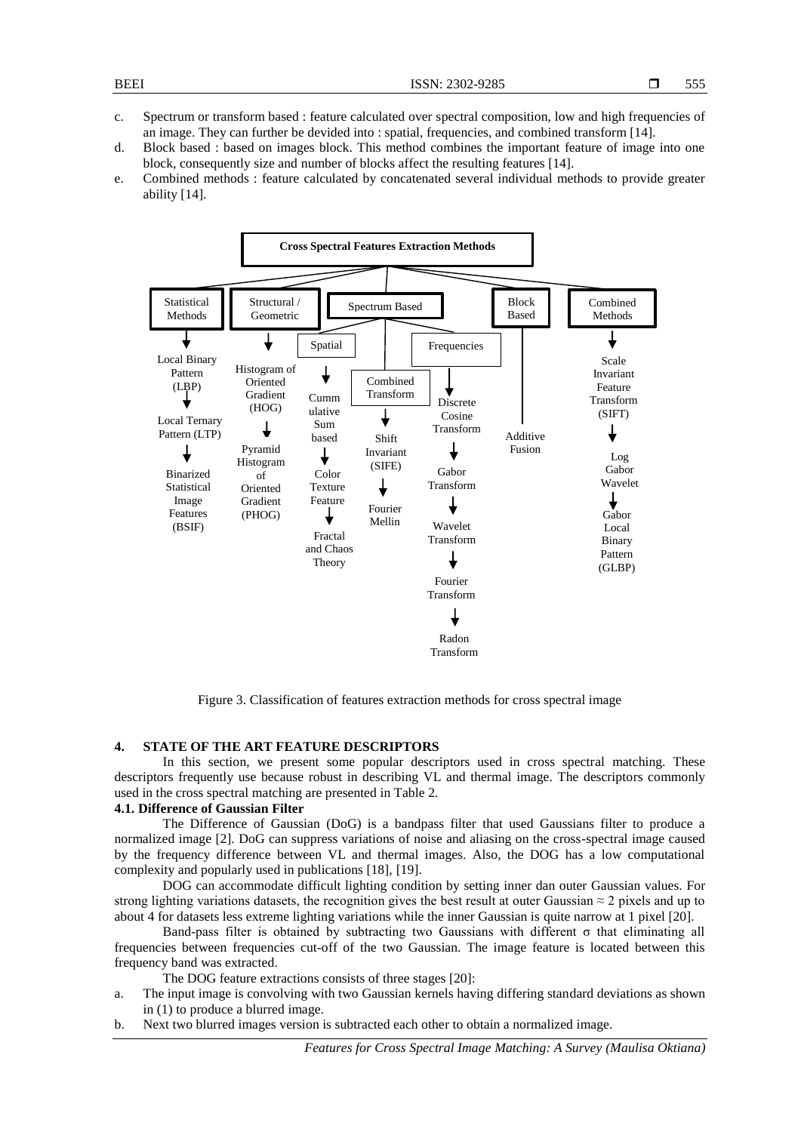- c. Spectrum or transform based : feature calculated over spectral composition, low and high frequencies of an image. They can further be devided into : spatial, frequencies, and combined transform [14].
- d. Block based : based on images block. This method combines the important feature of image into one block, consequently size and number of blocks affect the resulting features [14].
- e. Combined methods : feature calculated by concatenated several individual methods to provide greater ability [14].



Figure 3. Classification of features extraction methods for cross spectral image

# **4. STATE OF THE ART FEATURE DESCRIPTORS**

In this section, we present some popular descriptors used in cross spectral matching. These descriptors frequently use because robust in describing VL and thermal image. The descriptors commonly used in the cross spectral matching are presented in Table 2.

# **4.1. Difference of Gaussian Filter**

The Difference of Gaussian (DoG) is a bandpass filter that used Gaussians filter to produce a normalized image [2]. DoG can suppress variations of noise and aliasing on the cross-spectral image caused by the frequency difference between VL and thermal images. Also, the DOG has a low computational complexity and popularly used in publications [18], [19].

DOG can accommodate difficult lighting condition by setting inner dan outer Gaussian values. For strong lighting variations datasets, the recognition gives the best result at outer Gaussian  $\approx$  2 pixels and up to about 4 for datasets less extreme lighting variations while the inner Gaussian is quite narrow at 1 pixel [20].

Band-pass filter is obtained by subtracting two Gaussians with different σ that eliminating all frequencies between frequencies cut-off of the two Gaussian. The image feature is located between this frequency band was extracted.

The DOG feature extractions consists of three stages [20]:

- a. The input image is convolving with two Gaussian kernels having differing standard deviations as shown in (1) to produce a blurred image.
- b. Next two blurred images version is subtracted each other to obtain a normalized image.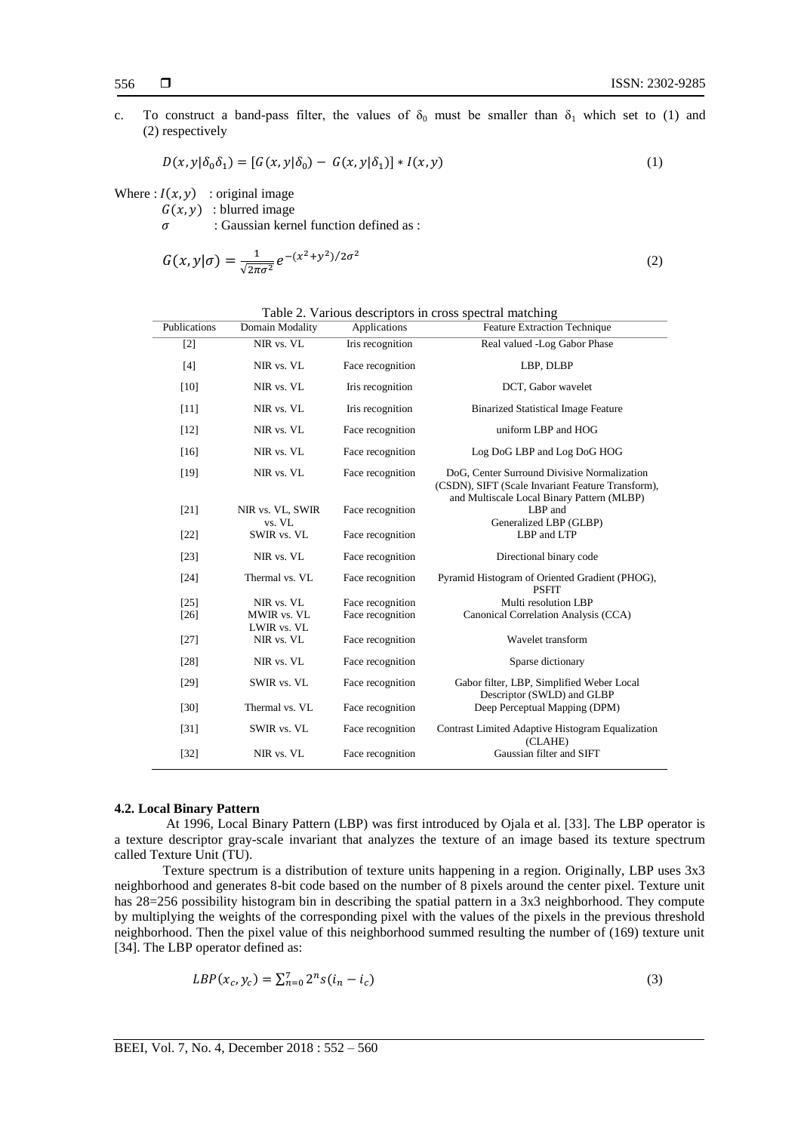c. To construct a band-pass filter, the values of  $\delta_0$  must be smaller than  $\delta_1$  which set to (1) and (2) respectively

$$
D(x, y | \delta_0 \delta_1) = [G(x, y | \delta_0) - G(x, y | \delta_1)] * I(x, y)
$$
\n(1)

Where :  $I(x, y)$  : original image

 $G(x, y)$ : blurred image

 $\sigma$  : Gaussian kernel function defined as :

$$
G(x,y|\sigma) = \frac{1}{\sqrt{2\pi\sigma^2}}e^{-(x^2+y^2)/2\sigma^2}
$$
\n<sup>(2)</sup>

| Publications   | Domain Modality                          | Applications                         | $\tilde{\phantom{a}}$<br><b>Feature Extraction Technique</b>                                                                                   |
|----------------|------------------------------------------|--------------------------------------|------------------------------------------------------------------------------------------------------------------------------------------------|
| $[2]$          | NIR vs. VL                               | Iris recognition                     | Real valued -Log Gabor Phase                                                                                                                   |
| $[4]$          | NIR vs. VL                               | Face recognition                     | LBP, DLBP                                                                                                                                      |
| $[10]$         | NIR vs. VL                               | Iris recognition                     | DCT, Gabor wavelet                                                                                                                             |
| [11]           | NIR vs. VL                               | Iris recognition                     | <b>Binarized Statistical Image Feature</b>                                                                                                     |
| [12]           | NIR vs. VL                               | Face recognition                     | uniform LBP and HOG                                                                                                                            |
| [16]           | NIR vs. VL                               | Face recognition                     | Log DoG LBP and Log DoG HOG                                                                                                                    |
| $[19]$         | NIR vs. VL                               | Face recognition                     | DoG, Center Surround Divisive Normalization<br>(CSDN), SIFT (Scale Invariant Feature Transform),<br>and Multiscale Local Binary Pattern (MLBP) |
| $[21]$         | NIR vs. VL, SWIR<br>vs. VL               | Face recognition                     | LBP and<br>Generalized LBP (GLBP)                                                                                                              |
| $[22]$         | SWIR vs. VL                              | Face recognition                     | LBP and LTP                                                                                                                                    |
| $[23]$         | NIR vs. VL                               | Face recognition                     | Directional binary code                                                                                                                        |
| [24]           | Thermal vs. VL                           | Face recognition                     | Pyramid Histogram of Oriented Gradient (PHOG),<br><b>PSFIT</b>                                                                                 |
| [25]<br>$[26]$ | NIR vs. VL<br>MWIR vs. VL<br>LWIR vs. VL | Face recognition<br>Face recognition | Multi resolution LBP<br>Canonical Correlation Analysis (CCA)                                                                                   |
| $[27]$         | NIR vs. VL                               | Face recognition                     | Wavelet transform                                                                                                                              |
| $[28]$         | NIR vs. VL                               | Face recognition                     | Sparse dictionary                                                                                                                              |
| $[29]$         | SWIR vs. VL                              | Face recognition                     | Gabor filter, LBP, Simplified Weber Local<br>Descriptor (SWLD) and GLBP                                                                        |
| [30]           | Thermal vs. VL                           | Face recognition                     | Deep Perceptual Mapping (DPM)                                                                                                                  |
| $[31]$         | SWIR vs. VL                              | Face recognition                     | Contrast Limited Adaptive Histogram Equalization<br>(CLAHE)                                                                                    |
| $[32]$         | NIR vs. VL                               | Face recognition                     | Gaussian filter and SIFT                                                                                                                       |

Table 2. Various descriptors in cross spectral matching

# **4.2. Local Binary Pattern**

At 1996, Local Binary Pattern (LBP) was first introduced by Ojala et al. [33]. The LBP operator is a texture descriptor gray-scale invariant that analyzes the texture of an image based its texture spectrum called Texture Unit (TU).

Texture spectrum is a distribution of texture units happening in a region. Originally, LBP uses 3x3 neighborhood and generates 8-bit code based on the number of 8 pixels around the center pixel. Texture unit has 28=256 possibility histogram bin in describing the spatial pattern in a 3x3 neighborhood. They compute by multiplying the weights of the corresponding pixel with the values of the pixels in the previous threshold neighborhood. Then the pixel value of this neighborhood summed resulting the number of (169) texture unit [34]. The LBP operator defined as:

$$
LBP(x_c, y_c) = \sum_{n=0}^{7} 2^n s(i_n - i_c)
$$
 (3)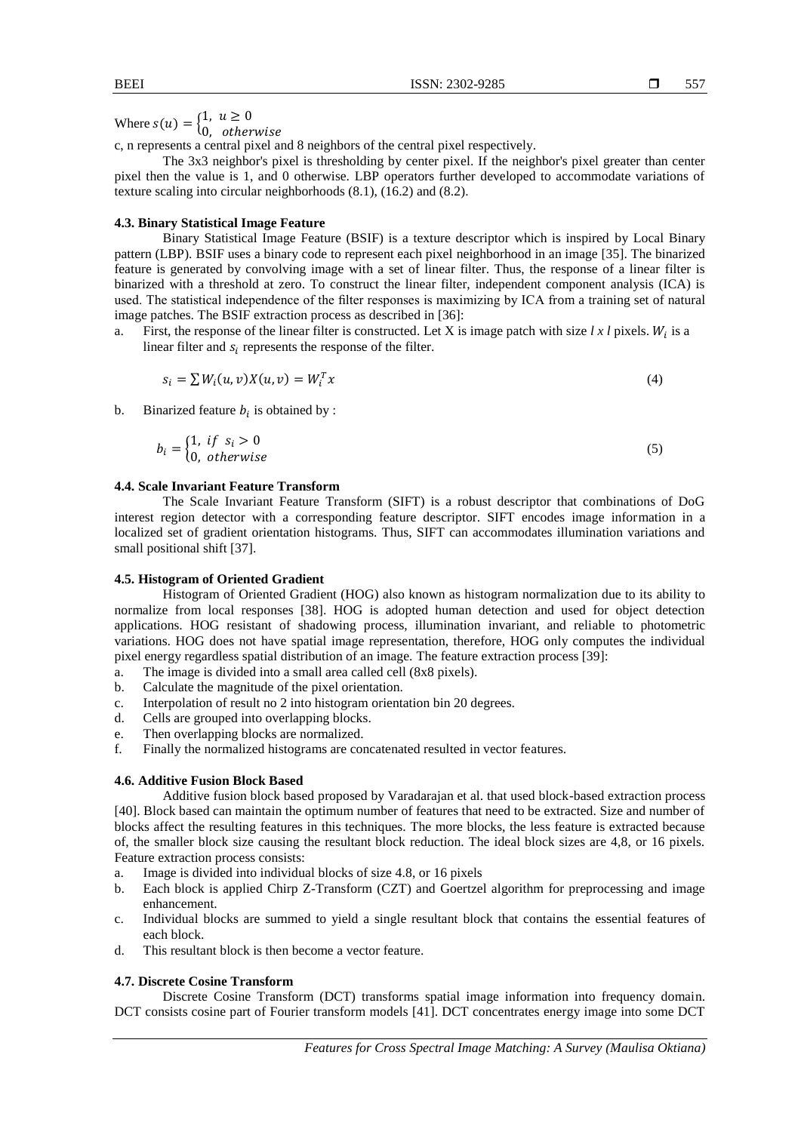Where  $s(u) = \begin{cases} 1 \\ 0 \end{cases}$ 

 $\boldsymbol{0}$ c, n represents a central pixel and 8 neighbors of the central pixel respectively.

The 3x3 neighbor's pixel is thresholding by center pixel. If the neighbor's pixel greater than center pixel then the value is 1, and 0 otherwise. LBP operators further developed to accommodate variations of texture scaling into circular neighborhoods (8.1), (16.2) and (8.2).

# **4.3. Binary Statistical Image Feature**

Binary Statistical Image Feature (BSIF) is a texture descriptor which is inspired by Local Binary pattern (LBP). BSIF uses a binary code to represent each pixel neighborhood in an image [35]. The binarized feature is generated by convolving image with a set of linear filter. Thus, the response of a linear filter is binarized with a threshold at zero. To construct the linear filter, independent component analysis (ICA) is used. The statistical independence of the filter responses is maximizing by ICA from a training set of natural image patches. The BSIF extraction process as described in [36]:

a. First, the response of the linear filter is constructed. Let X is image patch with size  $l x l$  pixels.  $W<sub>i</sub>$  is a linear filter and  $s_i$  represents the response of the filter.

$$
s_i = \sum W_i(u, v)X(u, v) = W_i^T x \tag{4}
$$

b. Binarized feature  $b_i$  is obtained by :

$$
b_i = \begin{cases} 1, & if \quad s_i > 0 \\ 0, & otherwise \end{cases}
$$
 (5)

## **4.4. Scale Invariant Feature Transform**

The Scale Invariant Feature Transform (SIFT) is a robust descriptor that combinations of DoG interest region detector with a corresponding feature descriptor. SIFT encodes image information in a localized set of gradient orientation histograms. Thus, SIFT can accommodates illumination variations and small positional shift [37].

## **4.5. Histogram of Oriented Gradient**

Histogram of Oriented Gradient (HOG) also known as histogram normalization due to its ability to normalize from local responses [38]. HOG is adopted human detection and used for object detection applications. HOG resistant of shadowing process, illumination invariant, and reliable to photometric variations. HOG does not have spatial image representation, therefore, HOG only computes the individual pixel energy regardless spatial distribution of an image. The feature extraction process [39]:

- a. The image is divided into a small area called cell (8x8 pixels).
- b. Calculate the magnitude of the pixel orientation.
- c. Interpolation of result no 2 into histogram orientation bin 20 degrees.
- d. Cells are grouped into overlapping blocks.
- e. Then overlapping blocks are normalized.
- f. Finally the normalized histograms are concatenated resulted in vector features.

# **4.6. Additive Fusion Block Based**

Additive fusion block based proposed by Varadarajan et al. that used block-based extraction process [40]. Block based can maintain the optimum number of features that need to be extracted. Size and number of blocks affect the resulting features in this techniques. The more blocks, the less feature is extracted because of, the smaller block size causing the resultant block reduction. The ideal block sizes are 4,8, or 16 pixels. Feature extraction process consists:

- a. Image is divided into individual blocks of size 4.8, or 16 pixels
- b. Each block is applied Chirp Z-Transform (CZT) and Goertzel algorithm for preprocessing and image enhancement.
- c. Individual blocks are summed to yield a single resultant block that contains the essential features of each block.
- d. This resultant block is then become a vector feature.

# **4.7. Discrete Cosine Transform**

Discrete Cosine Transform (DCT) transforms spatial image information into frequency domain. DCT consists cosine part of Fourier transform models [41]. DCT concentrates energy image into some DCT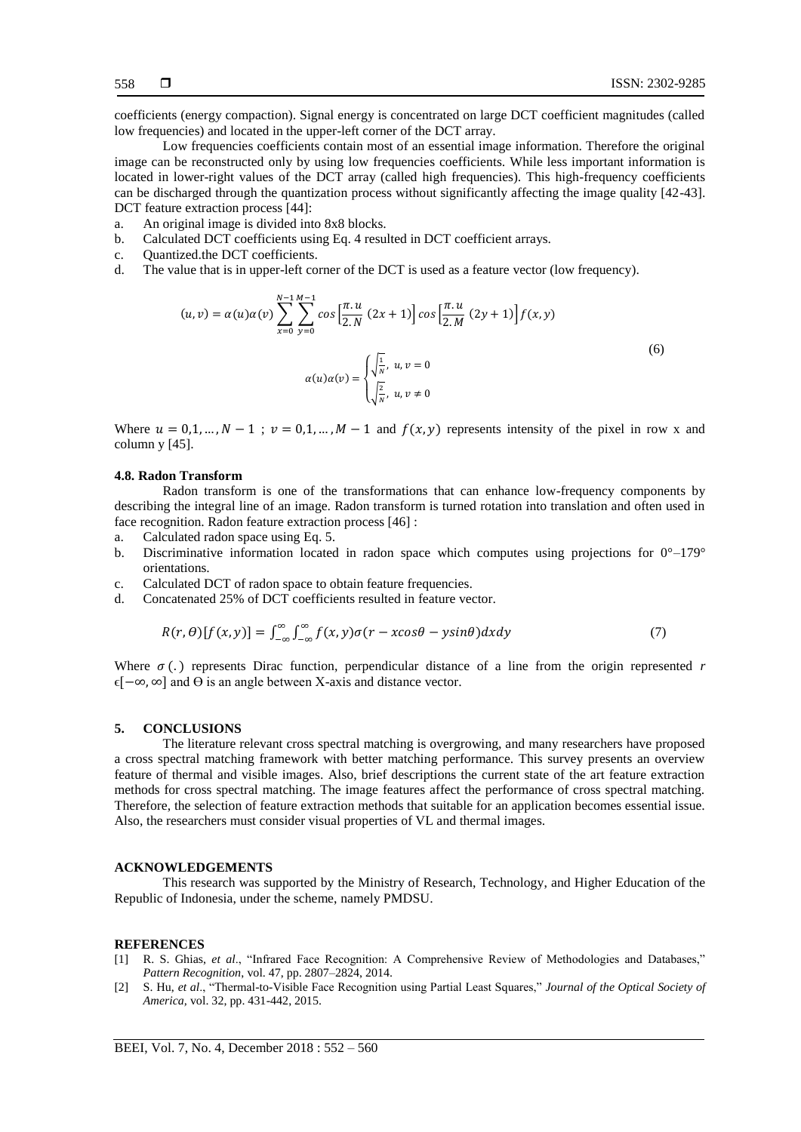coefficients (energy compaction). Signal energy is concentrated on large DCT coefficient magnitudes (called low frequencies) and located in the upper-left corner of the DCT array.

Low frequencies coefficients contain most of an essential image information. Therefore the original image can be reconstructed only by using low frequencies coefficients. While less important information is located in lower-right values of the DCT array (called high frequencies). This high-frequency coefficients can be discharged through the quantization process without significantly affecting the image quality [42-43]. DCT feature extraction process [44]:

- a. An original image is divided into 8x8 blocks.
- b. Calculated DCT coefficients using Eq. 4 resulted in DCT coefficient arrays.
- c. Quantized.the DCT coefficients.
- d. The value that is in upper-left corner of the DCT is used as a feature vector (low frequency).

$$
(u, v) = \alpha(u)\alpha(v) \sum_{x=0}^{N-1} \sum_{y=0}^{M-1} \cos\left[\frac{\pi \cdot u}{2 \cdot N} (2x+1)\right] \cos\left[\frac{\pi \cdot u}{2 \cdot M} (2y+1)\right] f(x, y)
$$
  

$$
\alpha(u)\alpha(v) = \begin{cases} \sqrt{\frac{1}{N}}, & u, v = 0\\ \sqrt{\frac{2}{N}}, & u, v \neq 0 \end{cases}
$$
 (6)

Where  $u = 0, 1, ..., N - 1$ ;  $v = 0, 1, ..., M - 1$  and  $f(x, y)$  represents intensity of the pixel in row x and column y [45].

#### **4.8. Radon Transform**

Radon transform is one of the transformations that can enhance low-frequency components by describing the integral line of an image. Radon transform is turned rotation into translation and often used in face recognition. Radon feature extraction process [46] :

- a. Calculated radon space using Eq. 5.
- b. Discriminative information located in radon space which computes using projections for  $0^{\circ}-179^{\circ}$ orientations.
- c. Calculated DCT of radon space to obtain feature frequencies.
- d. Concatenated 25% of DCT coefficients resulted in feature vector.

$$
R(r,\theta)[f(x,y)] = \int_{-\infty}^{\infty} \int_{-\infty}^{\infty} f(x,y)\sigma(r-x\cos\theta - y\sin\theta)dxdy
$$
\n(7)

Where  $\sigma$  (.) represents Dirac function, perpendicular distance of a line from the origin represented  $r$  $\epsilon[-\infty, \infty]$  and  $\Theta$  is an angle between X-axis and distance vector.

#### **5. CONCLUSIONS**

The literature relevant cross spectral matching is overgrowing, and many researchers have proposed a cross spectral matching framework with better matching performance. This survey presents an overview feature of thermal and visible images. Also, brief descriptions the current state of the art feature extraction methods for cross spectral matching. The image features affect the performance of cross spectral matching. Therefore, the selection of feature extraction methods that suitable for an application becomes essential issue. Also, the researchers must consider visual properties of VL and thermal images.

#### **ACKNOWLEDGEMENTS**

This research was supported by the Ministry of Research, Technology, and Higher Education of the Republic of Indonesia, under the scheme, namely PMDSU.

#### **REFERENCES**

- [1] R. S. Ghias, *et al*., "Infrared Face Recognition: A Comprehensive Review of Methodologies and Databases," *Pattern Recognition*, vol. 47, pp. 2807–2824, 2014.
- [2] S. Hu, *et al*., "Thermal-to-Visible Face Recognition using Partial Least Squares," *Journal of the Optical Society of America,* vol. 32, pp. 431-442, 2015.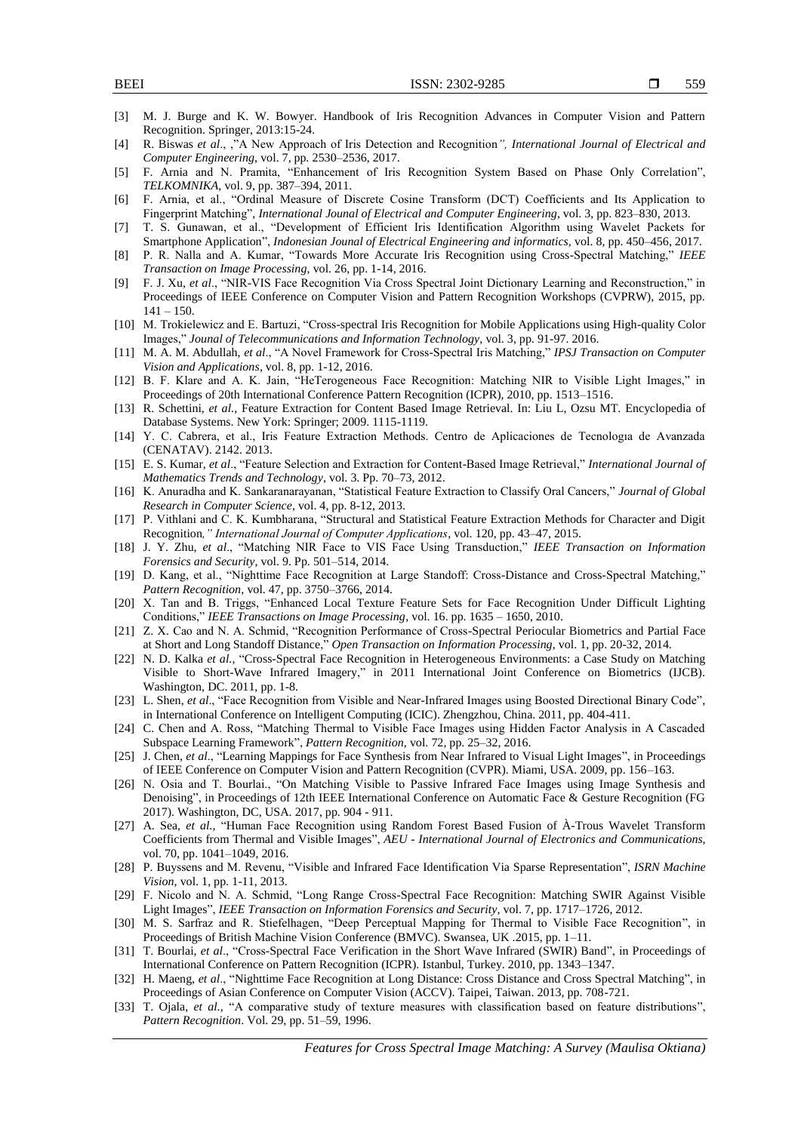- [3] M. J. Burge and K. W. Bowyer. Handbook of Iris Recognition Advances in Computer Vision and Pattern Recognition. Springer, 2013:15-24.
- [4] R. Biswas *et al*., ,"A New Approach of Iris Detection and Recognition*", International Journal of Electrical and Computer Engineering*, vol. 7, pp. 2530–2536, 2017.
- [5] F. Arnia and N. Pramita, "Enhancement of Iris Recognition System Based on Phase Only Correlation", *TELKOMNIKA*, vol. 9, pp. 387–394, 2011.
- [6] F. Arnia, et al., "Ordinal Measure of Discrete Cosine Transform (DCT) Coefficients and Its Application to Fingerprint Matching", *International Jounal of Electrical and Computer Engineering*, vol. 3, pp. 823–830, 2013.
- [7] T. S. Gunawan, et al., "Development of Efficient Iris Identification Algorithm using Wavelet Packets for Smartphone Application", *Indonesian Jounal of Electrical Engineering and informatics,* vol. 8, pp. 450–456, 2017.
- [8] P. R. Nalla and A. Kumar, "Towards More Accurate Iris Recognition using Cross-Spectral Matching," *IEEE Transaction on Image Processing*, vol. 26, pp. 1-14, 2016.
- [9] F. J. Xu, *et al*., "NIR-VIS Face Recognition Via Cross Spectral Joint Dictionary Learning and Reconstruction," in Proceedings of IEEE Conference on Computer Vision and Pattern Recognition Workshops (CVPRW), 2015, pp.  $141 - 150.$
- [10] M. Trokielewicz and E. Bartuzi, "Cross-spectral Iris Recognition for Mobile Applications using High-quality Color Images," *Jounal of Telecommunications and Information Technology*, vol. 3, pp. 91-97. 2016.
- [11] M. A. M. Abdullah, *et al*., "A Novel Framework for Cross-Spectral Iris Matching," *IPSJ Transaction on Computer Vision and Applications*, vol. 8, pp. 1-12, 2016.
- [12] B. F. Klare and A. K. Jain, "HeTerogeneous Face Recognition: Matching NIR to Visible Light Images," in Proceedings of 20th International Conference Pattern Recognition (ICPR), 2010, pp. 1513–1516.
- [13] R. Schettini, *et al.,* Feature Extraction for Content Based Image Retrieval. In: Liu L, Ozsu MT. Encyclopedia of Database Systems. New York: Springer; 2009. 1115-1119.
- [14] Y. C. Cabrera, et al., Iris Feature Extraction Methods. Centro de Aplicaciones de Tecnologıa de Avanzada (CENATAV). 2142. 2013.
- [15] E. S. Kumar, *et al*., "Feature Selection and Extraction for Content-Based Image Retrieval," *International Journal of Mathematics Trends and Technology*, vol. 3. Pp. 70–73, 2012.
- [16] K. Anuradha and K. Sankaranarayanan, "Statistical Feature Extraction to Classify Oral Cancers," *Journal of Global Research in Computer Science*, vol. 4, pp. 8-12, 2013.
- [17] P. Vithlani and C. K. Kumbharana, "Structural and Statistical Feature Extraction Methods for Character and Digit Recognition*," International Journal of Computer Applications*, vol. 120, pp. 43–47, 2015.
- [18] J. Y. Zhu, *et al*., "Matching NIR Face to VIS Face Using Transduction," *IEEE Transaction on Information Forensics and Security*, vol. 9. Pp. 501–514, 2014.
- [19] D. Kang, et al., "Nighttime Face Recognition at Large Standoff: Cross-Distance and Cross-Spectral Matching," *Pattern Recognition*, vol. 47, pp. 3750–3766, 2014.
- [20] X. Tan and B. Triggs, "Enhanced Local Texture Feature Sets for Face Recognition Under Difficult Lighting Conditions," *IEEE Transactions on Image Processing*, vol. 16. pp. 1635 – 1650, 2010.
- [21] Z. X. Cao and N. A. Schmid, "Recognition Performance of Cross-Spectral Periocular Biometrics and Partial Face at Short and Long Standoff Distance," *Open Transaction on Information Processing*, vol. 1, pp. 20-32, 2014.
- [22] N. D. Kalka *et al.,* "Cross-Spectral Face Recognition in Heterogeneous Environments: a Case Study on Matching Visible to Short-Wave Infrared Imagery," in 2011 International Joint Conference on Biometrics (IJCB). Washington, DC. 2011, pp. 1-8.
- [23] L. Shen, *et al*., "Face Recognition from Visible and Near-Infrared Images using Boosted Directional Binary Code", in International Conference on Intelligent Computing (ICIC). Zhengzhou, China. 2011, pp. 404-411.
- [24] C. Chen and A. Ross, "Matching Thermal to Visible Face Images using Hidden Factor Analysis in A Cascaded Subspace Learning Framework", *Pattern Recognition*, vol. 72, pp. 25–32, 2016.
- [25] J. Chen*, et al*., "Learning Mappings for Face Synthesis from Near Infrared to Visual Light Images", in Proceedings of IEEE Conference on Computer Vision and Pattern Recognition (CVPR). Miami, USA. 2009, pp. 156–163.
- [26] N. Osia and T. Bourlai., "On Matching Visible to Passive Infrared Face Images using Image Synthesis and Denoising", in Proceedings of 12th IEEE International Conference on Automatic Face & Gesture Recognition (FG 2017). Washington, DC, USA. 2017, pp. 904 - 911.
- [27] A. Sea*, et al.,* "Human Face Recognition using Random Forest Based Fusion of À-Trous Wavelet Transform Coefficients from Thermal and Visible Images", *AEU - International Journal of Electronics and Communications*, vol. 70, pp. 1041–1049, 2016.
- [28] P. Buyssens and M. Revenu, "Visible and Infrared Face Identification Via Sparse Representation", *ISRN Machine Vision*, vol. 1, pp. 1-11, 2013.
- [29] F. Nicolo and N. A. Schmid, "Long Range Cross-Spectral Face Recognition: Matching SWIR Against Visible Light Images", *IEEE Transaction on Information Forensics and Security,* vol. 7, pp. 1717–1726, 2012.
- [30] M. S. Sarfraz and R. Stiefelhagen, "Deep Perceptual Mapping for Thermal to Visible Face Recognition", in Proceedings of British Machine Vision Conference (BMVC). Swansea, UK .2015, pp. 1–11.
- [31] T. Bourlai, *et al*., "Cross-Spectral Face Verification in the Short Wave Infrared (SWIR) Band", in Proceedings of International Conference on Pattern Recognition (ICPR). Istanbul, Turkey. 2010, pp. 1343–1347.
- [32] H. Maeng, *et al*., "Nighttime Face Recognition at Long Distance: Cross Distance and Cross Spectral Matching", in Proceedings of Asian Conference on Computer Vision (ACCV). Taipei, Taiwan. 2013, pp. 708-721.
- [33] T. Ojala, *et al.,* "A comparative study of texture measures with classification based on feature distributions", *Pattern Recognition*. Vol. 29, pp. 51–59, 1996.